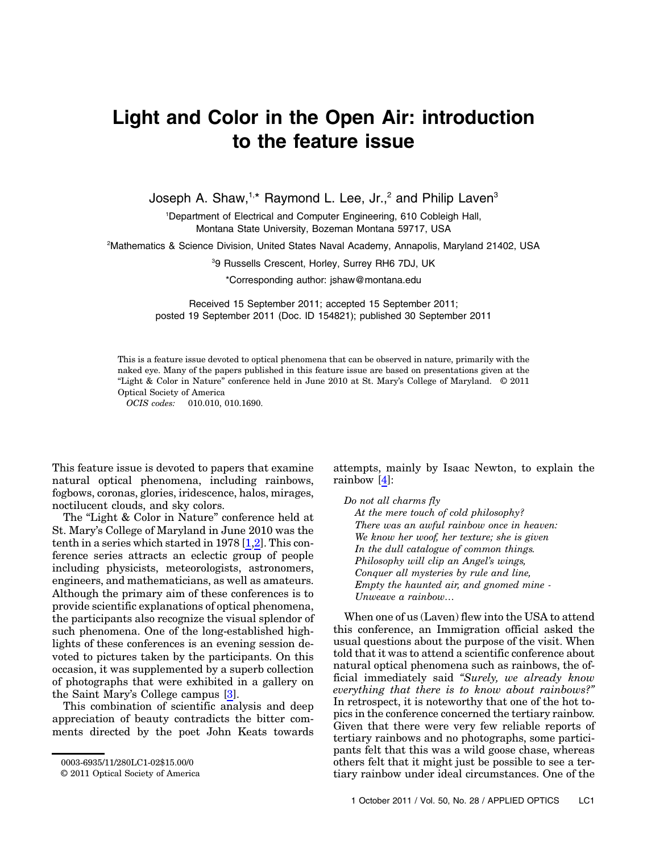## Light and Color in the Open Air: introduction to the feature issue

Joseph A. Shaw, $1, *$  Raymond L. Lee, Jr., $^2$  and Philip Laven $^3$ 

<sup>1</sup>Department of Electrical and Computer Engineering, 610 Cobleigh Hall, Montana State University, Bozeman Montana 59717, USA

2 Mathematics & Science Division, United States Naval Academy, Annapolis, Maryland 21402, USA

3 9 Russells Crescent, Horley, Surrey RH6 7DJ, UK

\*Corresponding author: jshaw@montana.edu

Received 15 September 2011; accepted 15 September 2011; posted 19 September 2011 (Doc. ID 154821); published 30 September 2011

This is a feature issue devoted to optical phenomena that can be observed in nature, primarily with the naked eye. Many of the papers published in this feature issue are based on presentations given at the "Light & Color in Nature" conference held in June 2010 at St. Mary's College of Maryland. © 2011 Optical Society of America

OCIS codes: 010.010, 010.1690.

This feature issue is devoted to papers that examine natural optical phenomena, including rainbows, fogbows, coronas, glories, iridescence, halos, mirages, noctilucent clouds, and sky colors.

The "Light & Color in Nature" conference held at St. Mary's College of Maryland in June 2010 was the tenth in a series which started in 1978 [\[1](#page-1-0)[,2\]](#page-1-1). This conference series attracts an eclectic group of people including physicists, meteorologists, astronomers, engineers, and mathematicians, as well as amateurs. Although the primary aim of these conferences is to provide scientific explanations of optical phenomena, the participants also recognize the visual splendor of such phenomena. One of the long-established highlights of these conferences is an evening session devoted to pictures taken by the participants. On this occasion, it was supplemented by a superb collection of photographs that were exhibited in a gallery on the Saint Mary's College campus [\[3\]](#page-1-2).

This combination of scientific analysis and deep appreciation of beauty contradicts the bitter comments directed by the poet John Keats towards

attempts, mainly by Isaac Newton, to explain the rainbow [\[4\]](#page-1-3):

Do not all charms fly

At the mere touch of cold philosophy? There was an awful rainbow once in heaven: We know her woof, her texture; she is given In the dull catalogue of common things. Philosophy will clip an Angel's wings, Conquer all mysteries by rule and line, Empty the haunted air, and gnomed mine - Unweave a rainbow…

When one of us (Laven) flew into the USA to attend this conference, an Immigration official asked the usual questions about the purpose of the visit. When told that it was to attend a scientific conference about natural optical phenomena such as rainbows, the official immediately said "Surely, we already know everything that there is to know about rainbows?" In retrospect, it is noteworthy that one of the hot topics in the conference concerned the tertiary rainbow. Given that there were very few reliable reports of tertiary rainbows and no photographs, some participants felt that this was a wild goose chase, whereas others felt that it might just be possible to see a tertiary rainbow under ideal circumstances. One of the

<sup>0003-6935/11/280</sup>LC1-02\$15.00/0

<sup>© 2011</sup> Optical Society of America